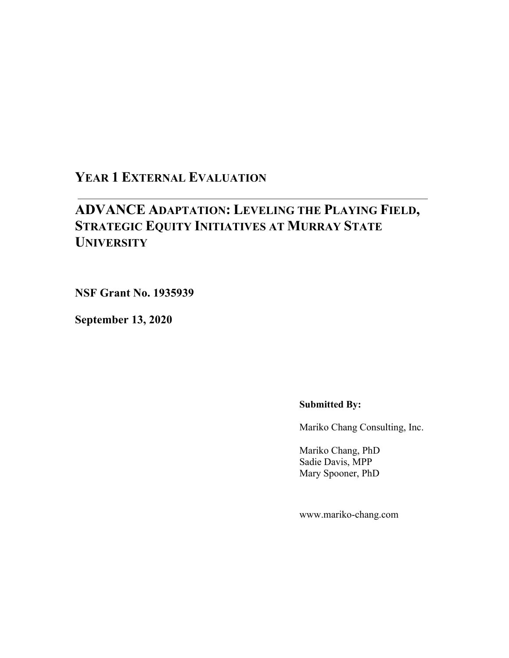# **YEAR 1 EXTERNAL EVALUATION**

# **ADVANCE ADAPTATION: LEVELING THE PLAYING FIELD, STRATEGIC EQUITY INITIATIVES AT MURRAY STATE UNIVERSITY**

**NSF Grant No. 1935939**

**September 13, 2020**

**Submitted By:**

Mariko Chang Consulting, Inc.

Mariko Chang, PhD Sadie Davis, MPP Mary Spooner, PhD

www.mariko-chang.com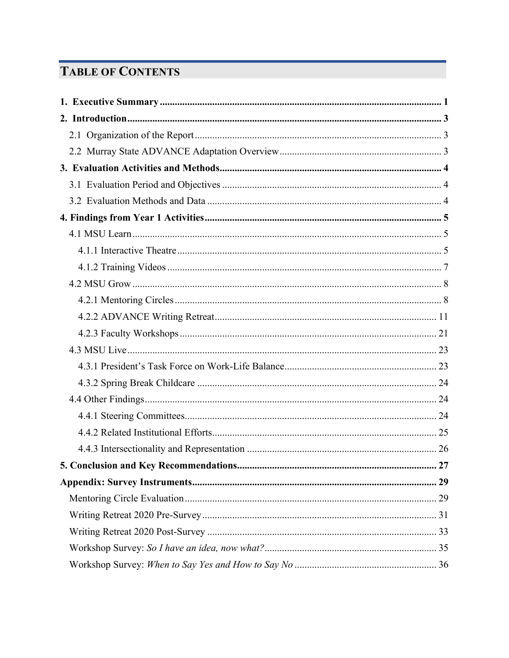# **TABLE OF CONTENTS**

| 27 |
|----|
|    |
|    |
|    |
|    |
|    |
|    |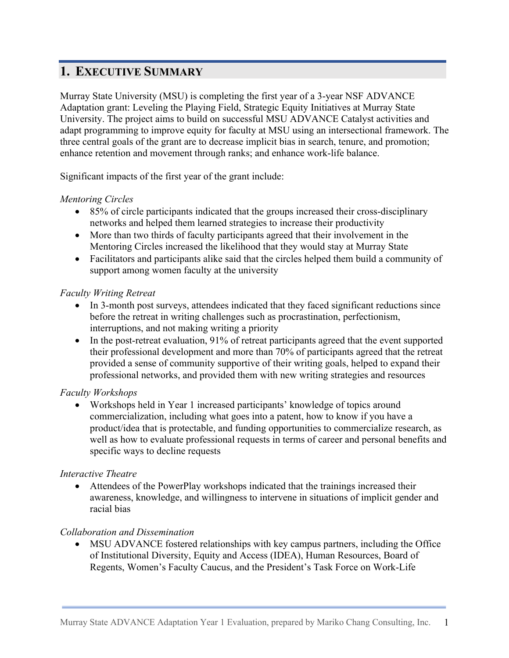# **1. EXECUTIVE SUMMARY**

Murray State University (MSU) is completing the first year of a 3-year NSF ADVANCE Adaptation grant: Leveling the Playing Field, Strategic Equity Initiatives at Murray State University. The project aims to build on successful MSU ADVANCE Catalyst activities and adapt programming to improve equity for faculty at MSU using an intersectional framework. The three central goals of the grant are to decrease implicit bias in search, tenure, and promotion; enhance retention and movement through ranks; and enhance work-life balance.

Significant impacts of the first year of the grant include:

#### *Mentoring Circles*

- 85% of circle participants indicated that the groups increased their cross-disciplinary networks and helped them learned strategies to increase their productivity
- More than two thirds of faculty participants agreed that their involvement in the Mentoring Circles increased the likelihood that they would stay at Murray State
- Facilitators and participants alike said that the circles helped them build a community of support among women faculty at the university

#### *Faculty Writing Retreat*

- In 3-month post surveys, attendees indicated that they faced significant reductions since before the retreat in writing challenges such as procrastination, perfectionism, interruptions, and not making writing a priority
- In the post-retreat evaluation, 91% of retreat participants agreed that the event supported their professional development and more than 70% of participants agreed that the retreat provided a sense of community supportive of their writing goals, helped to expand their professional networks, and provided them with new writing strategies and resources

#### *Faculty Workshops*

• Workshops held in Year 1 increased participants' knowledge of topics around commercialization, including what goes into a patent, how to know if you have a product/idea that is protectable, and funding opportunities to commercialize research, as well as how to evaluate professional requests in terms of career and personal benefits and specific ways to decline requests

#### *Interactive Theatre*

• Attendees of the PowerPlay workshops indicated that the trainings increased their awareness, knowledge, and willingness to intervene in situations of implicit gender and racial bias

#### *Collaboration and Dissemination*

• MSU ADVANCE fostered relationships with key campus partners, including the Office of Institutional Diversity, Equity and Access (IDEA), Human Resources, Board of Regents, Women's Faculty Caucus, and the President's Task Force on Work-Life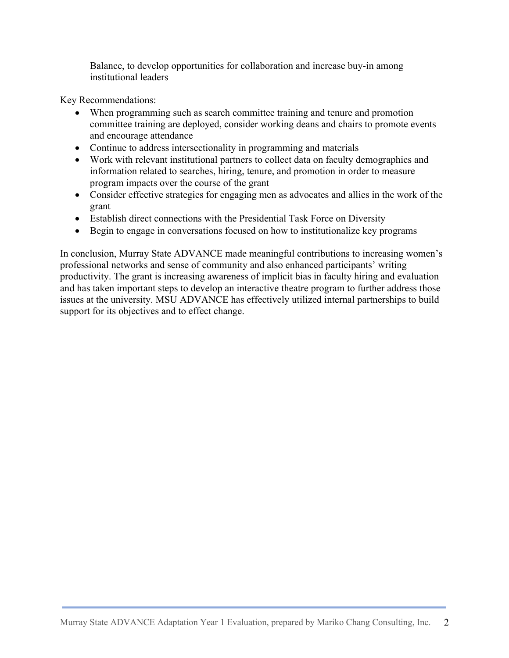Balance, to develop opportunities for collaboration and increase buy-in among institutional leaders

Key Recommendations:

- When programming such as search committee training and tenure and promotion committee training are deployed, consider working deans and chairs to promote events and encourage attendance
- Continue to address intersectionality in programming and materials
- Work with relevant institutional partners to collect data on faculty demographics and information related to searches, hiring, tenure, and promotion in order to measure program impacts over the course of the grant
- Consider effective strategies for engaging men as advocates and allies in the work of the grant
- Establish direct connections with the Presidential Task Force on Diversity
- Begin to engage in conversations focused on how to institutionalize key programs

In conclusion, Murray State ADVANCE made meaningful contributions to increasing women's professional networks and sense of community and also enhanced participants' writing productivity. The grant is increasing awareness of implicit bias in faculty hiring and evaluation and has taken important steps to develop an interactive theatre program to further address those issues at the university. MSU ADVANCE has effectively utilized internal partnerships to build support for its objectives and to effect change.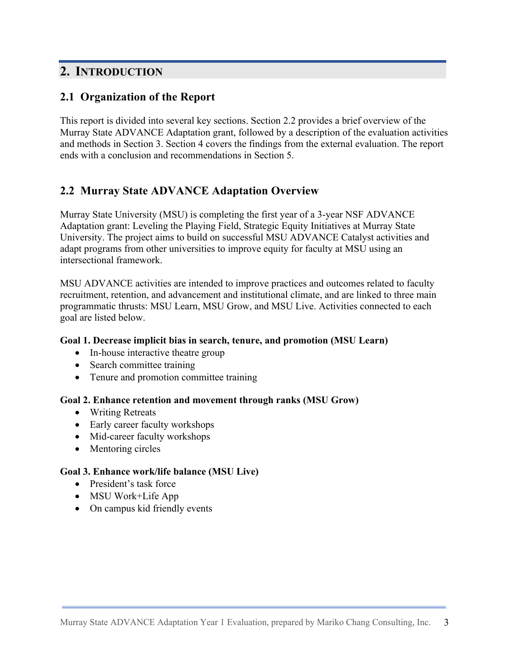# **2. INTRODUCTION**

## **2.1 Organization of the Report**

This report is divided into several key sections. Section 2.2 provides a brief overview of the Murray State ADVANCE Adaptation grant, followed by a description of the evaluation activities and methods in Section 3. Section 4 covers the findings from the external evaluation. The report ends with a conclusion and recommendations in Section 5.

# **2.2 Murray State ADVANCE Adaptation Overview**

Murray State University (MSU) is completing the first year of a 3-year NSF ADVANCE Adaptation grant: Leveling the Playing Field, Strategic Equity Initiatives at Murray State University. The project aims to build on successful MSU ADVANCE Catalyst activities and adapt programs from other universities to improve equity for faculty at MSU using an intersectional framework.

MSU ADVANCE activities are intended to improve practices and outcomes related to faculty recruitment, retention, and advancement and institutional climate, and are linked to three main programmatic thrusts: MSU Learn, MSU Grow, and MSU Live. Activities connected to each goal are listed below.

#### **Goal 1. Decrease implicit bias in search, tenure, and promotion (MSU Learn)**

- In-house interactive theatre group
- Search committee training
- Tenure and promotion committee training

#### **Goal 2. Enhance retention and movement through ranks (MSU Grow)**

- Writing Retreats
- Early career faculty workshops
- Mid-career faculty workshops
- Mentoring circles

#### **Goal 3. Enhance work/life balance (MSU Live)**

- President's task force
- MSU Work+Life App
- On campus kid friendly events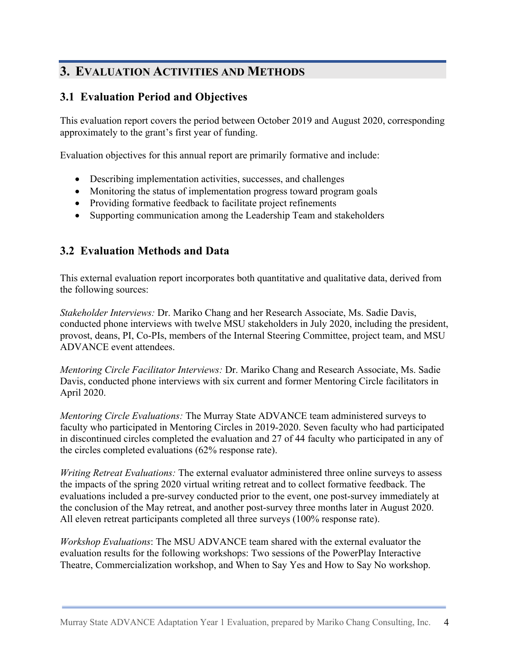# **3. EVALUATION ACTIVITIES AND METHODS**

## **3.1 Evaluation Period and Objectives**

This evaluation report covers the period between October 2019 and August 2020, corresponding approximately to the grant's first year of funding.

Evaluation objectives for this annual report are primarily formative and include:

- Describing implementation activities, successes, and challenges
- Monitoring the status of implementation progress toward program goals
- Providing formative feedback to facilitate project refinements
- Supporting communication among the Leadership Team and stakeholders

### **3.2 Evaluation Methods and Data**

This external evaluation report incorporates both quantitative and qualitative data, derived from the following sources:

*Stakeholder Interviews:* Dr. Mariko Chang and her Research Associate, Ms. Sadie Davis, conducted phone interviews with twelve MSU stakeholders in July 2020, including the president, provost, deans, PI, Co-PIs, members of the Internal Steering Committee, project team, and MSU ADVANCE event attendees.

*Mentoring Circle Facilitator Interviews:* Dr. Mariko Chang and Research Associate, Ms. Sadie Davis, conducted phone interviews with six current and former Mentoring Circle facilitators in April 2020.

*Mentoring Circle Evaluations:* The Murray State ADVANCE team administered surveys to faculty who participated in Mentoring Circles in 2019-2020. Seven faculty who had participated in discontinued circles completed the evaluation and 27 of 44 faculty who participated in any of the circles completed evaluations (62% response rate).

*Writing Retreat Evaluations:* The external evaluator administered three online surveys to assess the impacts of the spring 2020 virtual writing retreat and to collect formative feedback. The evaluations included a pre-survey conducted prior to the event, one post-survey immediately at the conclusion of the May retreat, and another post-survey three months later in August 2020. All eleven retreat participants completed all three surveys (100% response rate).

*Workshop Evaluations*: The MSU ADVANCE team shared with the external evaluator the evaluation results for the following workshops: Two sessions of the PowerPlay Interactive Theatre, Commercialization workshop, and When to Say Yes and How to Say No workshop.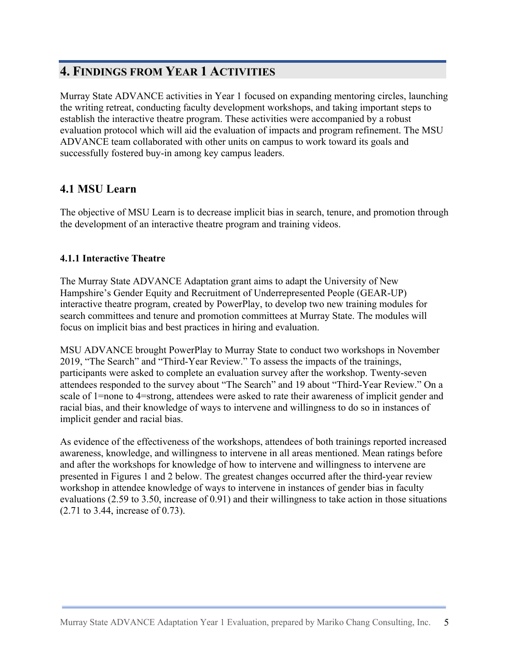# **4. FINDINGS FROM YEAR 1 ACTIVITIES**

Murray State ADVANCE activities in Year 1 focused on expanding mentoring circles, launching the writing retreat, conducting faculty development workshops, and taking important steps to establish the interactive theatre program. These activities were accompanied by a robust evaluation protocol which will aid the evaluation of impacts and program refinement. The MSU ADVANCE team collaborated with other units on campus to work toward its goals and successfully fostered buy-in among key campus leaders.

# **4.1 MSU Learn**

The objective of MSU Learn is to decrease implicit bias in search, tenure, and promotion through the development of an interactive theatre program and training videos.

### **4.1.1 Interactive Theatre**

The Murray State ADVANCE Adaptation grant aims to adapt the University of New Hampshire's Gender Equity and Recruitment of Underrepresented People (GEAR-UP) interactive theatre program, created by PowerPlay, to develop two new training modules for search committees and tenure and promotion committees at Murray State. The modules will focus on implicit bias and best practices in hiring and evaluation.

MSU ADVANCE brought PowerPlay to Murray State to conduct two workshops in November 2019, "The Search" and "Third-Year Review." To assess the impacts of the trainings, participants were asked to complete an evaluation survey after the workshop. Twenty-seven attendees responded to the survey about "The Search" and 19 about "Third-Year Review." On a scale of 1=none to 4=strong, attendees were asked to rate their awareness of implicit gender and racial bias, and their knowledge of ways to intervene and willingness to do so in instances of implicit gender and racial bias.

As evidence of the effectiveness of the workshops, attendees of both trainings reported increased awareness, knowledge, and willingness to intervene in all areas mentioned. Mean ratings before and after the workshops for knowledge of how to intervene and willingness to intervene are presented in Figures 1 and 2 below. The greatest changes occurred after the third-year review workshop in attendee knowledge of ways to intervene in instances of gender bias in faculty evaluations (2.59 to 3.50, increase of 0.91) and their willingness to take action in those situations (2.71 to 3.44, increase of 0.73).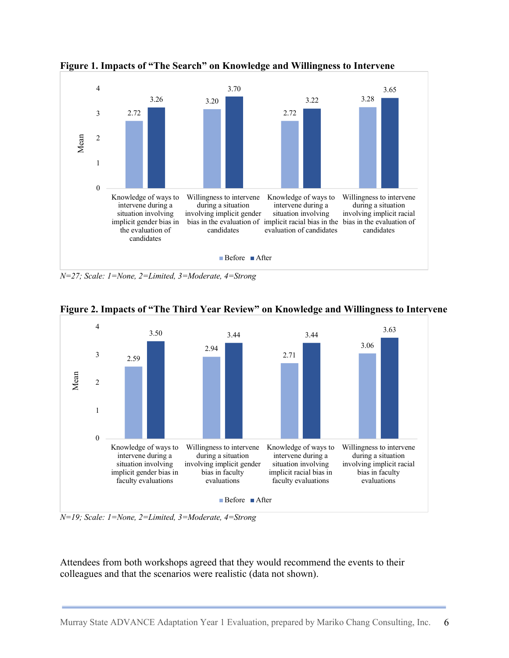

**Figure 1. Impacts of "The Search" on Knowledge and Willingness to Intervene**

*N=27; Scale: 1=None, 2=Limited, 3=Moderate, 4=Strong*



**Figure 2. Impacts of "The Third Year Review" on Knowledge and Willingness to Intervene**

*N=19; Scale: 1=None, 2=Limited, 3=Moderate, 4=Strong*

Attendees from both workshops agreed that they would recommend the events to their colleagues and that the scenarios were realistic (data not shown).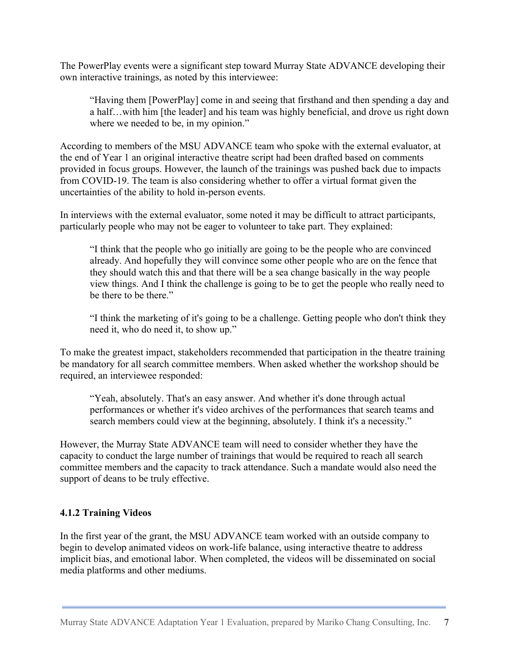The PowerPlay events were a significant step toward Murray State ADVANCE developing their own interactive trainings, as noted by this interviewee:

"Having them [PowerPlay] come in and seeing that firsthand and then spending a day and a half…with him [the leader] and his team was highly beneficial, and drove us right down where we needed to be, in my opinion."

According to members of the MSU ADVANCE team who spoke with the external evaluator, at the end of Year 1 an original interactive theatre script had been drafted based on comments provided in focus groups. However, the launch of the trainings was pushed back due to impacts from COVID-19. The team is also considering whether to offer a virtual format given the uncertainties of the ability to hold in-person events.

In interviews with the external evaluator, some noted it may be difficult to attract participants, particularly people who may not be eager to volunteer to take part. They explained:

"I think that the people who go initially are going to be the people who are convinced already. And hopefully they will convince some other people who are on the fence that they should watch this and that there will be a sea change basically in the way people view things. And I think the challenge is going to be to get the people who really need to be there to be there."

"I think the marketing of it's going to be a challenge. Getting people who don't think they need it, who do need it, to show up."

To make the greatest impact, stakeholders recommended that participation in the theatre training be mandatory for all search committee members. When asked whether the workshop should be required, an interviewee responded:

"Yeah, absolutely. That's an easy answer. And whether it's done through actual performances or whether it's video archives of the performances that search teams and search members could view at the beginning, absolutely. I think it's a necessity."

However, the Murray State ADVANCE team will need to consider whether they have the capacity to conduct the large number of trainings that would be required to reach all search committee members and the capacity to track attendance. Such a mandate would also need the support of deans to be truly effective.

#### **4.1.2 Training Videos**

In the first year of the grant, the MSU ADVANCE team worked with an outside company to begin to develop animated videos on work-life balance, using interactive theatre to address implicit bias, and emotional labor. When completed, the videos will be disseminated on social media platforms and other mediums.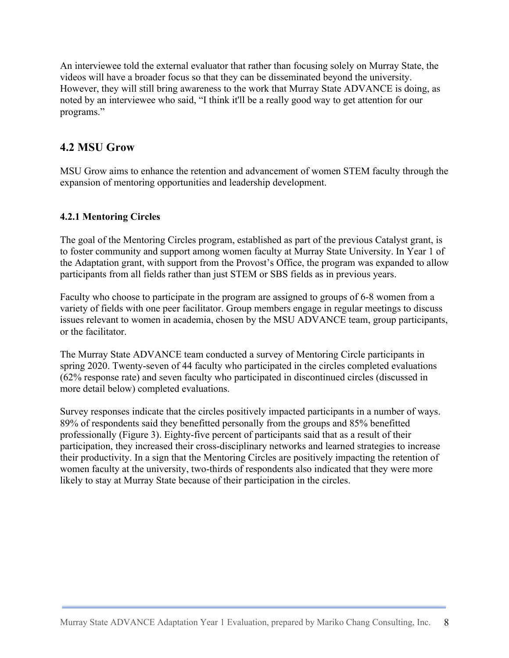An interviewee told the external evaluator that rather than focusing solely on Murray State, the videos will have a broader focus so that they can be disseminated beyond the university. However, they will still bring awareness to the work that Murray State ADVANCE is doing, as noted by an interviewee who said, "I think it'll be a really good way to get attention for our programs."

### **4.2 MSU Grow**

MSU Grow aims to enhance the retention and advancement of women STEM faculty through the expansion of mentoring opportunities and leadership development.

### **4.2.1 Mentoring Circles**

The goal of the Mentoring Circles program, established as part of the previous Catalyst grant, is to foster community and support among women faculty at Murray State University. In Year 1 of the Adaptation grant, with support from the Provost's Office, the program was expanded to allow participants from all fields rather than just STEM or SBS fields as in previous years.

Faculty who choose to participate in the program are assigned to groups of 6-8 women from a variety of fields with one peer facilitator. Group members engage in regular meetings to discuss issues relevant to women in academia, chosen by the MSU ADVANCE team, group participants, or the facilitator.

The Murray State ADVANCE team conducted a survey of Mentoring Circle participants in spring 2020. Twenty-seven of 44 faculty who participated in the circles completed evaluations (62% response rate) and seven faculty who participated in discontinued circles (discussed in more detail below) completed evaluations.

Survey responses indicate that the circles positively impacted participants in a number of ways. 89% of respondents said they benefitted personally from the groups and 85% benefitted professionally (Figure 3). Eighty-five percent of participants said that as a result of their participation, they increased their cross-disciplinary networks and learned strategies to increase their productivity. In a sign that the Mentoring Circles are positively impacting the retention of women faculty at the university, two-thirds of respondents also indicated that they were more likely to stay at Murray State because of their participation in the circles.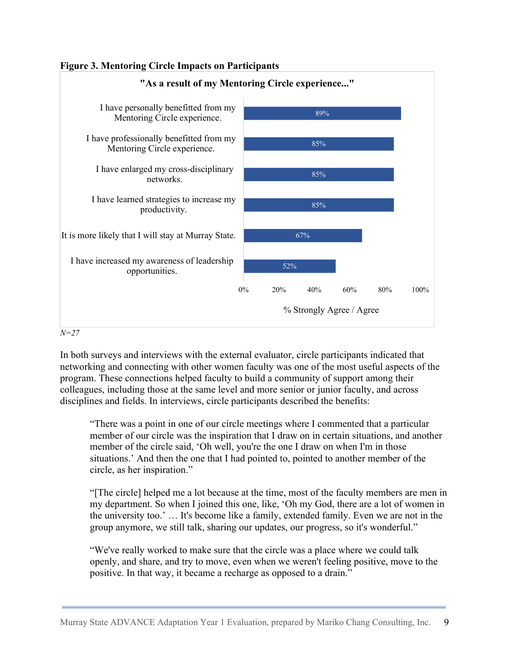



In both surveys and interviews with the external evaluator, circle participants indicated that networking and connecting with other women faculty was one of the most useful aspects of the program. These connections helped faculty to build a community of support among their colleagues, including those at the same level and more senior or junior faculty, and across disciplines and fields. In interviews, circle participants described the benefits:

"There was a point in one of our circle meetings where I commented that a particular member of our circle was the inspiration that I draw on in certain situations, and another member of the circle said, 'Oh well, you're the one I draw on when I'm in those situations.' And then the one that I had pointed to, pointed to another member of the circle, as her inspiration."

"[The circle] helped me a lot because at the time, most of the faculty members are men in my department. So when I joined this one, like, 'Oh my God, there are a lot of women in the university too.' … It's become like a family, extended family. Even we are not in the group anymore, we still talk, sharing our updates, our progress, so it's wonderful."

"We've really worked to make sure that the circle was a place where we could talk openly, and share, and try to move, even when we weren't feeling positive, move to the positive. In that way, it became a recharge as opposed to a drain."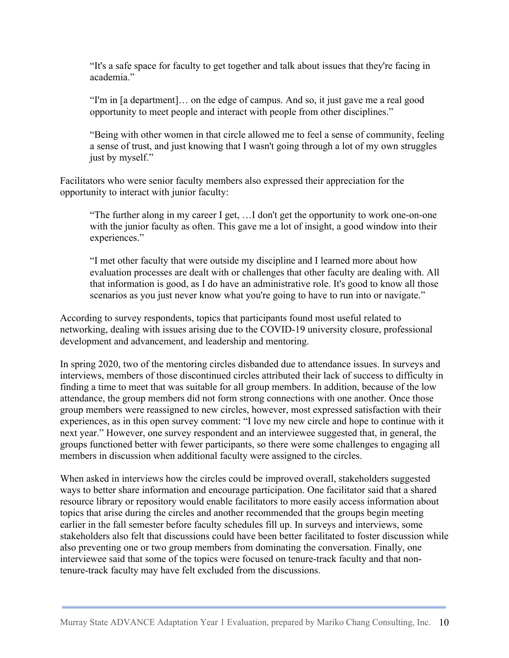"It's a safe space for faculty to get together and talk about issues that they're facing in academia."

"I'm in [a department]… on the edge of campus. And so, it just gave me a real good opportunity to meet people and interact with people from other disciplines."

"Being with other women in that circle allowed me to feel a sense of community, feeling a sense of trust, and just knowing that I wasn't going through a lot of my own struggles just by myself."

Facilitators who were senior faculty members also expressed their appreciation for the opportunity to interact with junior faculty:

"The further along in my career I get, …I don't get the opportunity to work one-on-one with the junior faculty as often. This gave me a lot of insight, a good window into their experiences."

"I met other faculty that were outside my discipline and I learned more about how evaluation processes are dealt with or challenges that other faculty are dealing with. All that information is good, as I do have an administrative role. It's good to know all those scenarios as you just never know what you're going to have to run into or navigate."

According to survey respondents, topics that participants found most useful related to networking, dealing with issues arising due to the COVID-19 university closure, professional development and advancement, and leadership and mentoring.

In spring 2020, two of the mentoring circles disbanded due to attendance issues. In surveys and interviews, members of those discontinued circles attributed their lack of success to difficulty in finding a time to meet that was suitable for all group members. In addition, because of the low attendance, the group members did not form strong connections with one another. Once those group members were reassigned to new circles, however, most expressed satisfaction with their experiences, as in this open survey comment: "I love my new circle and hope to continue with it next year." However, one survey respondent and an interviewee suggested that, in general, the groups functioned better with fewer participants, so there were some challenges to engaging all members in discussion when additional faculty were assigned to the circles.

When asked in interviews how the circles could be improved overall, stakeholders suggested ways to better share information and encourage participation. One facilitator said that a shared resource library or repository would enable facilitators to more easily access information about topics that arise during the circles and another recommended that the groups begin meeting earlier in the fall semester before faculty schedules fill up. In surveys and interviews, some stakeholders also felt that discussions could have been better facilitated to foster discussion while also preventing one or two group members from dominating the conversation. Finally, one interviewee said that some of the topics were focused on tenure-track faculty and that nontenure-track faculty may have felt excluded from the discussions.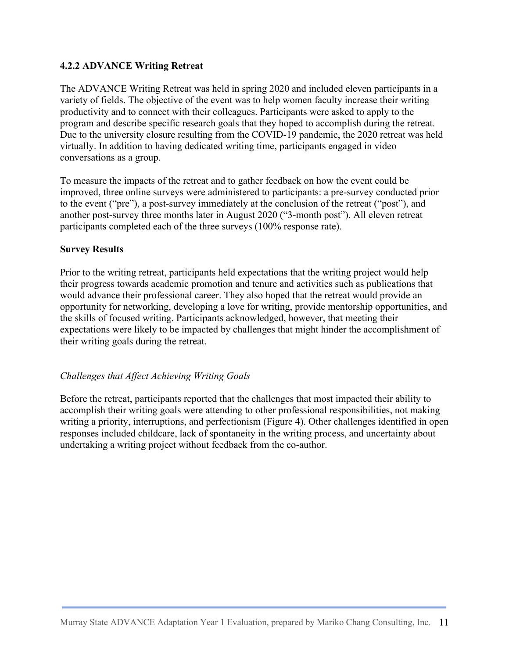#### **4.2.2 ADVANCE Writing Retreat**

The ADVANCE Writing Retreat was held in spring 2020 and included eleven participants in a variety of fields. The objective of the event was to help women faculty increase their writing productivity and to connect with their colleagues. Participants were asked to apply to the program and describe specific research goals that they hoped to accomplish during the retreat. Due to the university closure resulting from the COVID-19 pandemic, the 2020 retreat was held virtually. In addition to having dedicated writing time, participants engaged in video conversations as a group.

To measure the impacts of the retreat and to gather feedback on how the event could be improved, three online surveys were administered to participants: a pre-survey conducted prior to the event ("pre"), a post-survey immediately at the conclusion of the retreat ("post"), and another post-survey three months later in August 2020 ("3-month post"). All eleven retreat participants completed each of the three surveys (100% response rate).

#### **Survey Results**

Prior to the writing retreat, participants held expectations that the writing project would help their progress towards academic promotion and tenure and activities such as publications that would advance their professional career. They also hoped that the retreat would provide an opportunity for networking, developing a love for writing, provide mentorship opportunities, and the skills of focused writing. Participants acknowledged, however, that meeting their expectations were likely to be impacted by challenges that might hinder the accomplishment of their writing goals during the retreat.

#### *Challenges that Affect Achieving Writing Goals*

Before the retreat, participants reported that the challenges that most impacted their ability to accomplish their writing goals were attending to other professional responsibilities, not making writing a priority, interruptions, and perfectionism (Figure 4). Other challenges identified in open responses included childcare, lack of spontaneity in the writing process, and uncertainty about undertaking a writing project without feedback from the co-author.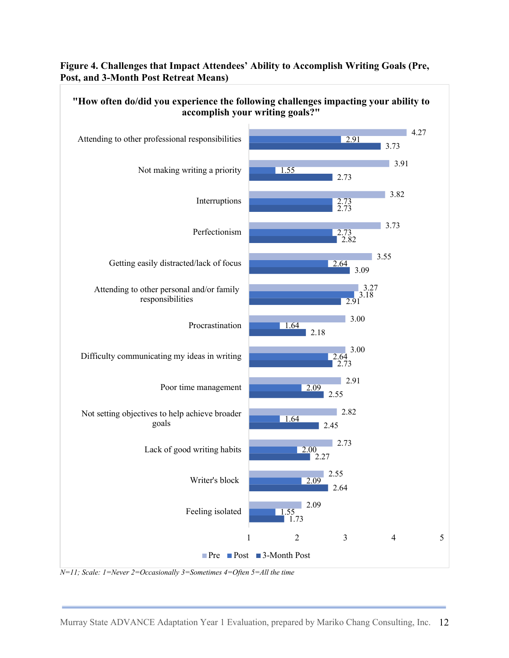#### **Figure 4. Challenges that Impact Attendees' Ability to Accomplish Writing Goals (Pre, Post, and 3-Month Post Retreat Means)**



*N=11; Scale: 1=Never 2=Occasionally 3=Sometimes 4=Often 5=All the time*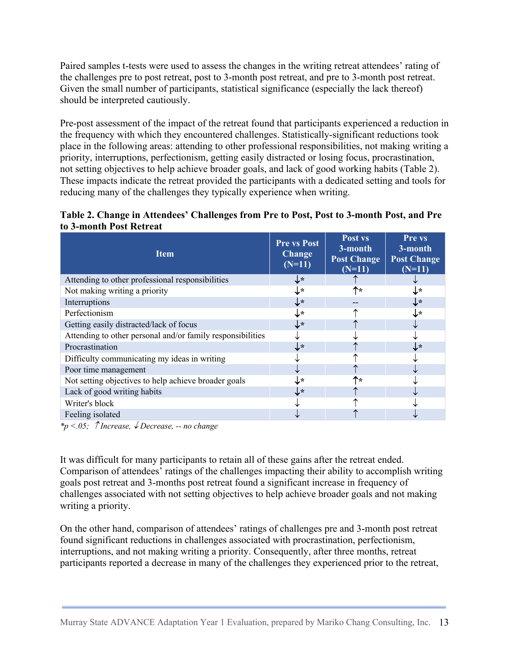Paired samples t-tests were used to assess the changes in the writing retreat attendees' rating of the challenges pre to post retreat, post to 3-month post retreat, and pre to 3-month post retreat. Given the small number of participants, statistical significance (especially the lack thereof) should be interpreted cautiously.

Pre-post assessment of the impact of the retreat found that participants experienced a reduction in the frequency with which they encountered challenges. Statistically-significant reductions took place in the following areas: attending to other professional responsibilities, not making writing a priority, interruptions, perfectionism, getting easily distracted or losing focus, procrastination, not setting objectives to help achieve broader goals, and lack of good working habits (Table 2). These impacts indicate the retreat provided the participants with a dedicated setting and tools for reducing many of the challenges they typically experience when writing.



| <b>Item</b>                                                | <b>Pre vs Post</b><br><b>Change</b><br>$(N=11)$ | Post vs<br>3-month<br><b>Post Change</b><br>$(N=11)$ | Pre vs<br>3-month<br><b>Post Change</b><br>$(N=11)$ |
|------------------------------------------------------------|-------------------------------------------------|------------------------------------------------------|-----------------------------------------------------|
| Attending to other professional responsibilities           | ↓∗                                              |                                                      |                                                     |
| Not making writing a priority                              | ↓∗                                              | ↑∗                                                   | J∗                                                  |
| Interruptions                                              | $\downarrow\ast$                                |                                                      | $\downarrow\ast$                                    |
| Perfectionism                                              | ↓∗                                              |                                                      | ↓∗                                                  |
| Getting easily distracted/lack of focus                    | ↓∗                                              |                                                      |                                                     |
| Attending to other personal and/or family responsibilities |                                                 |                                                      |                                                     |
| Procrastination                                            | ↓∗                                              |                                                      | ↓∗                                                  |
| Difficulty communicating my ideas in writing               |                                                 |                                                      |                                                     |
| Poor time management                                       |                                                 |                                                      |                                                     |
| Not setting objectives to help achieve broader goals       | ↓∗                                              | ↑∗                                                   |                                                     |
| Lack of good writing habits                                | ↓∗                                              |                                                      |                                                     |
| Writer's block                                             |                                                 |                                                      |                                                     |
| Feeling isolated                                           |                                                 |                                                      |                                                     |

 $*_{p} < .05$ ;  $\hat{\ }$  *Increase,*  $\hat{\ }$  *Decrease,* -- *no change* 

It was difficult for many participants to retain all of these gains after the retreat ended. Comparison of attendees' ratings of the challenges impacting their ability to accomplish writing goals post retreat and 3-months post retreat found a significant increase in frequency of challenges associated with not setting objectives to help achieve broader goals and not making writing a priority.

On the other hand, comparison of attendees' ratings of challenges pre and 3-month post retreat found significant reductions in challenges associated with procrastination, perfectionism, interruptions, and not making writing a priority. Consequently, after three months, retreat participants reported a decrease in many of the challenges they experienced prior to the retreat,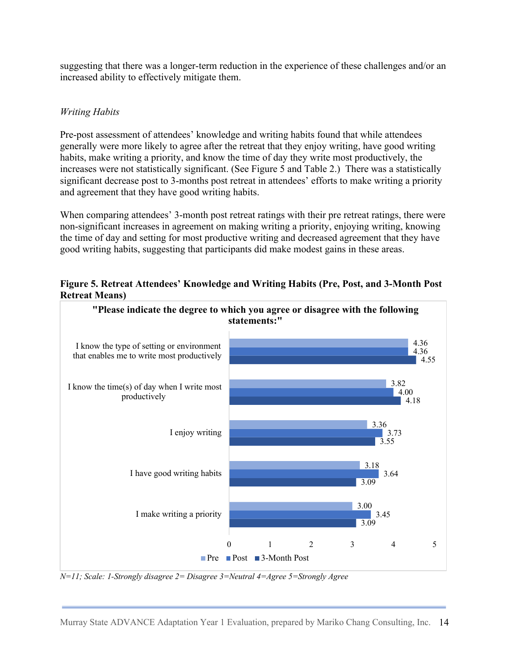suggesting that there was a longer-term reduction in the experience of these challenges and/or an increased ability to effectively mitigate them.

### *Writing Habits*

Pre-post assessment of attendees' knowledge and writing habits found that while attendees generally were more likely to agree after the retreat that they enjoy writing, have good writing habits, make writing a priority, and know the time of day they write most productively, the increases were not statistically significant. (See Figure 5 and Table 2.) There was a statistically significant decrease post to 3-months post retreat in attendees' efforts to make writing a priority and agreement that they have good writing habits.

When comparing attendees' 3-month post retreat ratings with their pre retreat ratings, there were non-significant increases in agreement on making writing a priority, enjoying writing, knowing the time of day and setting for most productive writing and decreased agreement that they have good writing habits, suggesting that participants did make modest gains in these areas.

**Figure 5. Retreat Attendees' Knowledge and Writing Habits (Pre, Post, and 3-Month Post Retreat Means)**



*N=11; Scale: 1-Strongly disagree 2= Disagree 3=Neutral 4=Agree 5=Strongly Agree*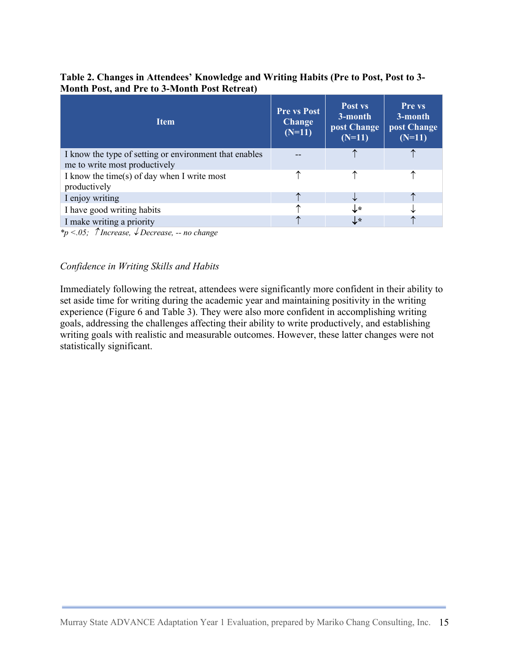#### **Table 2. Changes in Attendees' Knowledge and Writing Habits (Pre to Post, Post to 3- Month Post, and Pre to 3-Month Post Retreat)**

| <b>Item</b>                                                 | <b>Pre vs Post</b><br><b>Change</b><br>$(N=11)$ | Post vs<br>3-month<br>post Change<br>$(N=11)$ | <b>Pre vs</b><br>3-month<br>post Change<br>$(N=11)$ |
|-------------------------------------------------------------|-------------------------------------------------|-----------------------------------------------|-----------------------------------------------------|
| I know the type of setting or environment that enables      |                                                 |                                               |                                                     |
| me to write most productively                               |                                                 |                                               |                                                     |
| I know the time(s) of day when I write most<br>productively |                                                 |                                               |                                                     |
| I enjoy writing                                             | ᠰ                                               |                                               |                                                     |
| I have good writing habits                                  | ∧                                               | ↓∗                                            |                                                     |
| I make writing a priority                                   | ◠                                               | ↓∗                                            |                                                     |

*\*p <.05; Increase,* ¯ *Decrease, -- no change*

#### *Confidence in Writing Skills and Habits*

Immediately following the retreat, attendees were significantly more confident in their ability to set aside time for writing during the academic year and maintaining positivity in the writing experience (Figure 6 and Table 3). They were also more confident in accomplishing writing goals, addressing the challenges affecting their ability to write productively, and establishing writing goals with realistic and measurable outcomes. However, these latter changes were not statistically significant.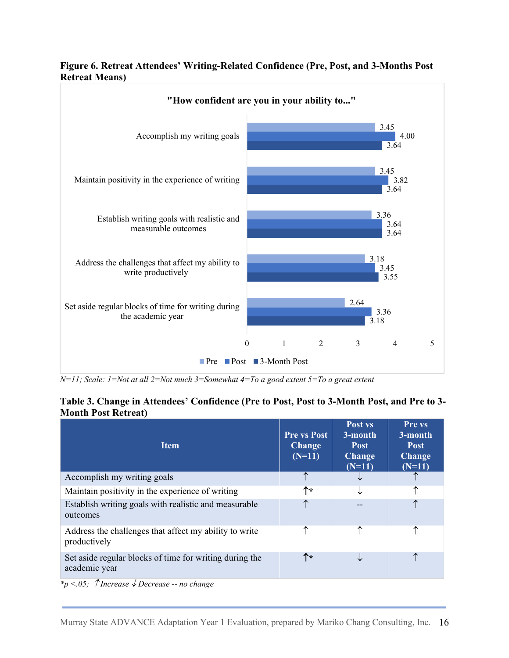

#### **Figure 6. Retreat Attendees' Writing-Related Confidence (Pre, Post, and 3-Months Post Retreat Means)**

*N=11; Scale: 1=Not at all 2=Not much 3=Somewhat 4=To a good extent 5=To a great extent*

#### **Table 3. Change in Attendees' Confidence (Pre to Post, Post to 3-Month Post, and Pre to 3- Month Post Retreat)**

| <b>Item</b>                                                              | <b>Pre vs Post</b><br><b>Change</b><br>$(N=11)$ | Post vs<br>3-month<br><b>Post</b><br><b>Change</b><br>$(N=11)$ | Pre vs<br>3-month<br><b>Post</b><br><b>Change</b><br>$(N=11)$ |
|--------------------------------------------------------------------------|-------------------------------------------------|----------------------------------------------------------------|---------------------------------------------------------------|
| Accomplish my writing goals                                              | ↑                                               | ╰                                                              |                                                               |
| Maintain positivity in the experience of writing                         | ↑∗                                              | ↓                                                              | ↑                                                             |
| Establish writing goals with realistic and measurable<br>outcomes        |                                                 | --                                                             |                                                               |
| Address the challenges that affect my ability to write<br>productively   |                                                 | ↑                                                              |                                                               |
| Set aside regular blocks of time for writing during the<br>academic year | $\uparrow\star$                                 | ◡                                                              |                                                               |

*\*p* <.05; ↑ *Increase* ↓ *Decrease* -- *no change*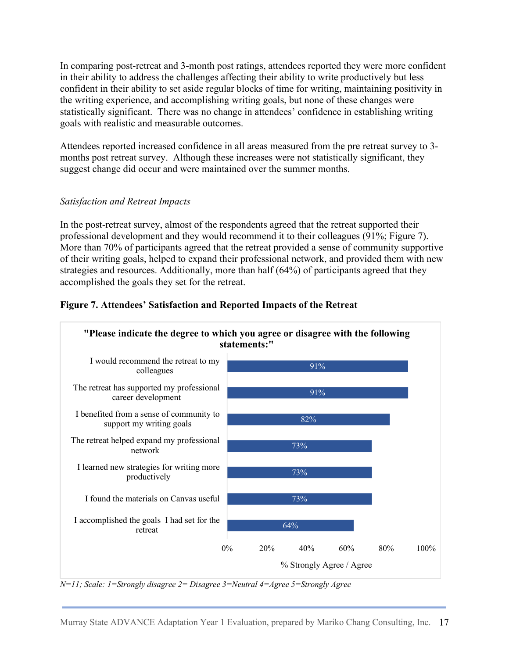In comparing post-retreat and 3-month post ratings, attendees reported they were more confident in their ability to address the challenges affecting their ability to write productively but less confident in their ability to set aside regular blocks of time for writing, maintaining positivity in the writing experience, and accomplishing writing goals, but none of these changes were statistically significant. There was no change in attendees' confidence in establishing writing goals with realistic and measurable outcomes.

Attendees reported increased confidence in all areas measured from the pre retreat survey to 3 months post retreat survey. Although these increases were not statistically significant, they suggest change did occur and were maintained over the summer months.

#### *Satisfaction and Retreat Impacts*

In the post-retreat survey, almost of the respondents agreed that the retreat supported their professional development and they would recommend it to their colleagues (91%; Figure 7). More than 70% of participants agreed that the retreat provided a sense of community supportive of their writing goals, helped to expand their professional network, and provided them with new strategies and resources. Additionally, more than half (64%) of participants agreed that they accomplished the goals they set for the retreat.



#### **Figure 7. Attendees' Satisfaction and Reported Impacts of the Retreat**

*N=11; Scale: 1=Strongly disagree 2= Disagree 3=Neutral 4=Agree 5=Strongly Agree*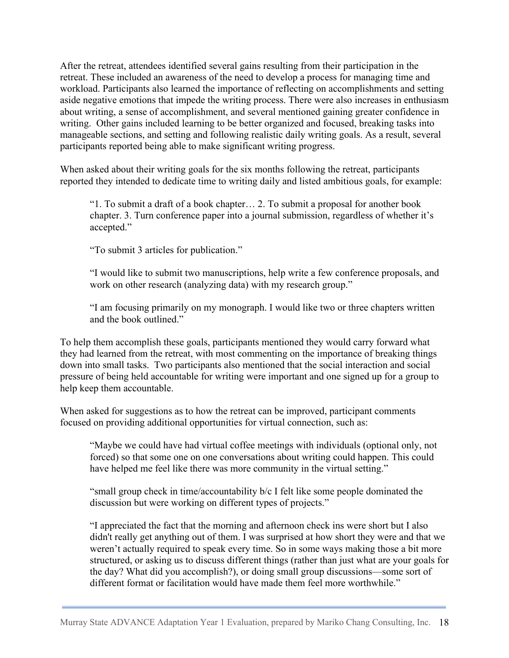After the retreat, attendees identified several gains resulting from their participation in the retreat. These included an awareness of the need to develop a process for managing time and workload. Participants also learned the importance of reflecting on accomplishments and setting aside negative emotions that impede the writing process. There were also increases in enthusiasm about writing, a sense of accomplishment, and several mentioned gaining greater confidence in writing. Other gains included learning to be better organized and focused, breaking tasks into manageable sections, and setting and following realistic daily writing goals. As a result, several participants reported being able to make significant writing progress.

When asked about their writing goals for the six months following the retreat, participants reported they intended to dedicate time to writing daily and listed ambitious goals, for example:

"1. To submit a draft of a book chapter… 2. To submit a proposal for another book chapter. 3. Turn conference paper into a journal submission, regardless of whether it's accepted."

"To submit 3 articles for publication."

"I would like to submit two manuscriptions, help write a few conference proposals, and work on other research (analyzing data) with my research group."

"I am focusing primarily on my monograph. I would like two or three chapters written and the book outlined."

To help them accomplish these goals, participants mentioned they would carry forward what they had learned from the retreat, with most commenting on the importance of breaking things down into small tasks. Two participants also mentioned that the social interaction and social pressure of being held accountable for writing were important and one signed up for a group to help keep them accountable.

When asked for suggestions as to how the retreat can be improved, participant comments focused on providing additional opportunities for virtual connection, such as:

"Maybe we could have had virtual coffee meetings with individuals (optional only, not forced) so that some one on one conversations about writing could happen. This could have helped me feel like there was more community in the virtual setting."

"small group check in time/accountability b/c I felt like some people dominated the discussion but were working on different types of projects."

"I appreciated the fact that the morning and afternoon check ins were short but I also didn't really get anything out of them. I was surprised at how short they were and that we weren't actually required to speak every time. So in some ways making those a bit more structured, or asking us to discuss different things (rather than just what are your goals for the day? What did you accomplish?), or doing small group discussions—some sort of different format or facilitation would have made them feel more worthwhile."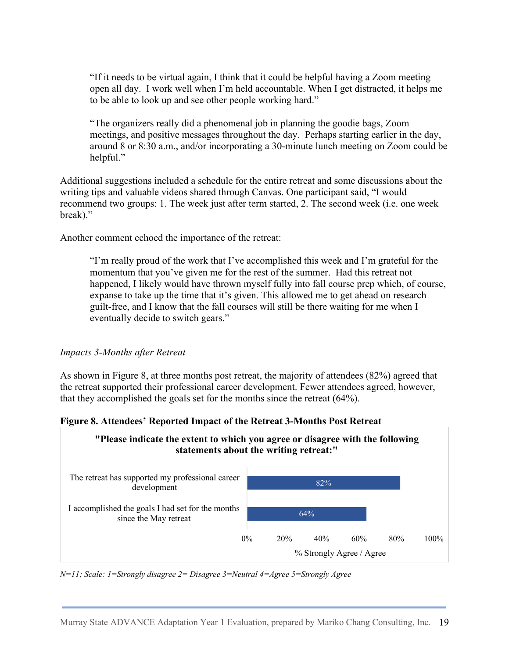"If it needs to be virtual again, I think that it could be helpful having a Zoom meeting open all day. I work well when I'm held accountable. When I get distracted, it helps me to be able to look up and see other people working hard."

"The organizers really did a phenomenal job in planning the goodie bags, Zoom meetings, and positive messages throughout the day. Perhaps starting earlier in the day, around 8 or 8:30 a.m., and/or incorporating a 30-minute lunch meeting on Zoom could be helpful."

Additional suggestions included a schedule for the entire retreat and some discussions about the writing tips and valuable videos shared through Canvas. One participant said, "I would recommend two groups: 1. The week just after term started, 2. The second week (i.e. one week break)."

Another comment echoed the importance of the retreat:

"I'm really proud of the work that I've accomplished this week and I'm grateful for the momentum that you've given me for the rest of the summer. Had this retreat not happened, I likely would have thrown myself fully into fall course prep which, of course, expanse to take up the time that it's given. This allowed me to get ahead on research guilt-free, and I know that the fall courses will still be there waiting for me when I eventually decide to switch gears."

#### *Impacts 3-Months after Retreat*

As shown in Figure 8, at three months post retreat, the majority of attendees (82%) agreed that the retreat supported their professional career development. Fewer attendees agreed, however, that they accomplished the goals set for the months since the retreat (64%).

#### **Figure 8. Attendees' Reported Impact of the Retreat 3-Months Post Retreat**



*N=11; Scale: 1=Strongly disagree 2= Disagree 3=Neutral 4=Agree 5=Strongly Agree*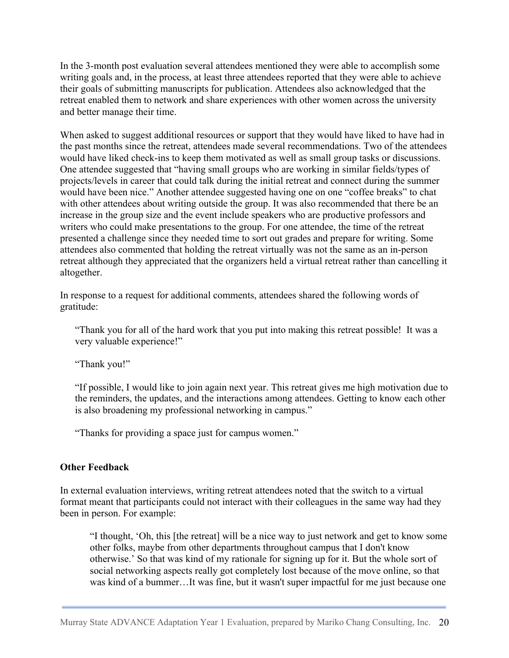In the 3-month post evaluation several attendees mentioned they were able to accomplish some writing goals and, in the process, at least three attendees reported that they were able to achieve their goals of submitting manuscripts for publication. Attendees also acknowledged that the retreat enabled them to network and share experiences with other women across the university and better manage their time.

When asked to suggest additional resources or support that they would have liked to have had in the past months since the retreat, attendees made several recommendations. Two of the attendees would have liked check-ins to keep them motivated as well as small group tasks or discussions. One attendee suggested that "having small groups who are working in similar fields/types of projects/levels in career that could talk during the initial retreat and connect during the summer would have been nice." Another attendee suggested having one on one "coffee breaks" to chat with other attendees about writing outside the group. It was also recommended that there be an increase in the group size and the event include speakers who are productive professors and writers who could make presentations to the group. For one attendee, the time of the retreat presented a challenge since they needed time to sort out grades and prepare for writing. Some attendees also commented that holding the retreat virtually was not the same as an in-person retreat although they appreciated that the organizers held a virtual retreat rather than cancelling it altogether.

In response to a request for additional comments, attendees shared the following words of gratitude:

"Thank you for all of the hard work that you put into making this retreat possible! It was a very valuable experience!"

"Thank you!"

"If possible, I would like to join again next year. This retreat gives me high motivation due to the reminders, the updates, and the interactions among attendees. Getting to know each other is also broadening my professional networking in campus."

"Thanks for providing a space just for campus women."

#### **Other Feedback**

In external evaluation interviews, writing retreat attendees noted that the switch to a virtual format meant that participants could not interact with their colleagues in the same way had they been in person. For example:

"I thought, 'Oh, this [the retreat] will be a nice way to just network and get to know some other folks, maybe from other departments throughout campus that I don't know otherwise.' So that was kind of my rationale for signing up for it. But the whole sort of social networking aspects really got completely lost because of the move online, so that was kind of a bummer…It was fine, but it wasn't super impactful for me just because one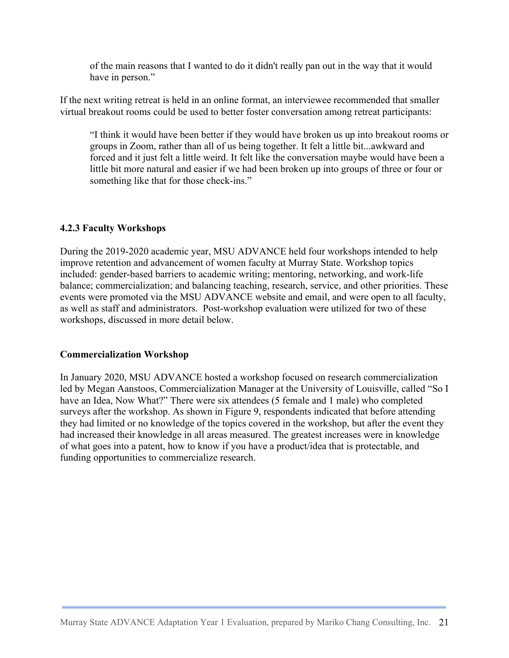of the main reasons that I wanted to do it didn't really pan out in the way that it would have in person."

If the next writing retreat is held in an online format, an interviewee recommended that smaller virtual breakout rooms could be used to better foster conversation among retreat participants:

"I think it would have been better if they would have broken us up into breakout rooms or groups in Zoom, rather than all of us being together. It felt a little bit...awkward and forced and it just felt a little weird. It felt like the conversation maybe would have been a little bit more natural and easier if we had been broken up into groups of three or four or something like that for those check-ins."

#### **4.2.3 Faculty Workshops**

During the 2019-2020 academic year, MSU ADVANCE held four workshops intended to help improve retention and advancement of women faculty at Murray State. Workshop topics included: gender-based barriers to academic writing; mentoring, networking, and work-life balance; commercialization; and balancing teaching, research, service, and other priorities. These events were promoted via the MSU ADVANCE website and email, and were open to all faculty, as well as staff and administrators. Post-workshop evaluation were utilized for two of these workshops, discussed in more detail below.

#### **Commercialization Workshop**

In January 2020, MSU ADVANCE hosted a workshop focused on research commercialization led by Megan Aanstoos, Commercialization Manager at the University of Louisville, called "So I have an Idea, Now What?" There were six attendees (5 female and 1 male) who completed surveys after the workshop. As shown in Figure 9, respondents indicated that before attending they had limited or no knowledge of the topics covered in the workshop, but after the event they had increased their knowledge in all areas measured. The greatest increases were in knowledge of what goes into a patent, how to know if you have a product/idea that is protectable, and funding opportunities to commercialize research.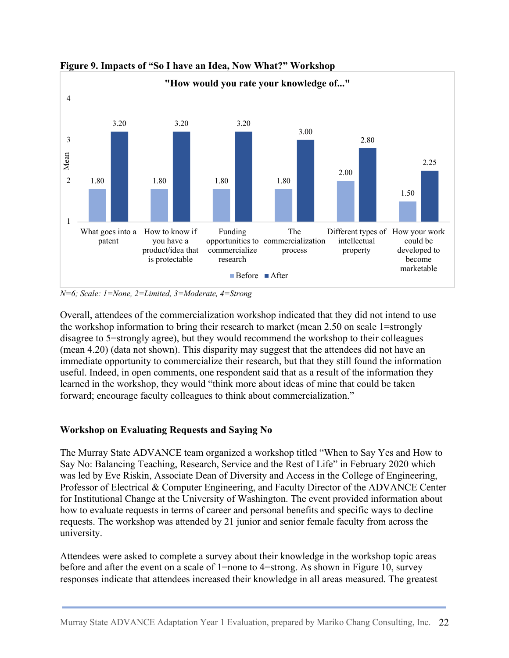

**Figure 9. Impacts of "So I have an Idea, Now What?" Workshop**

*N=6; Scale: 1=None, 2=Limited, 3=Moderate, 4=Strong*

Overall, attendees of the commercialization workshop indicated that they did not intend to use the workshop information to bring their research to market (mean 2.50 on scale 1=strongly disagree to 5=strongly agree), but they would recommend the workshop to their colleagues (mean 4.20) (data not shown). This disparity may suggest that the attendees did not have an immediate opportunity to commercialize their research, but that they still found the information useful. Indeed, in open comments, one respondent said that as a result of the information they learned in the workshop, they would "think more about ideas of mine that could be taken forward; encourage faculty colleagues to think about commercialization."

### **Workshop on Evaluating Requests and Saying No**

The Murray State ADVANCE team organized a workshop titled "When to Say Yes and How to Say No: Balancing Teaching, Research, Service and the Rest of Life" in February 2020 which was led by Eve Riskin, Associate Dean of Diversity and Access in the College of Engineering, Professor of Electrical & Computer Engineering, and Faculty Director of the ADVANCE Center for Institutional Change at the University of Washington. The event provided information about how to evaluate requests in terms of career and personal benefits and specific ways to decline requests. The workshop was attended by 21 junior and senior female faculty from across the university.

Attendees were asked to complete a survey about their knowledge in the workshop topic areas before and after the event on a scale of 1=none to 4=strong. As shown in Figure 10, survey responses indicate that attendees increased their knowledge in all areas measured. The greatest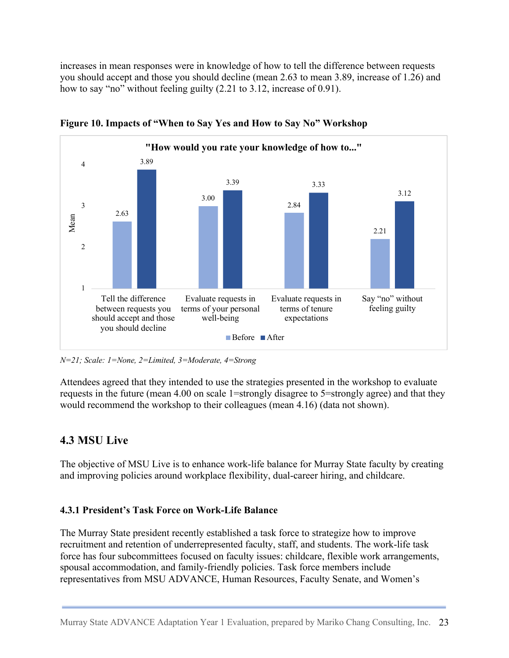increases in mean responses were in knowledge of how to tell the difference between requests you should accept and those you should decline (mean 2.63 to mean 3.89, increase of 1.26) and how to say "no" without feeling guilty (2.21 to 3.12, increase of 0.91).



**Figure 10. Impacts of "When to Say Yes and How to Say No" Workshop**

*N=21; Scale: 1=None, 2=Limited, 3=Moderate, 4=Strong*

Attendees agreed that they intended to use the strategies presented in the workshop to evaluate requests in the future (mean 4.00 on scale 1=strongly disagree to 5=strongly agree) and that they would recommend the workshop to their colleagues (mean 4.16) (data not shown).

## **4.3 MSU Live**

The objective of MSU Live is to enhance work-life balance for Murray State faculty by creating and improving policies around workplace flexibility, dual-career hiring, and childcare.

### **4.3.1 President's Task Force on Work-Life Balance**

The Murray State president recently established a task force to strategize how to improve recruitment and retention of underrepresented faculty, staff, and students. The work-life task force has four subcommittees focused on faculty issues: childcare, flexible work arrangements, spousal accommodation, and family-friendly policies. Task force members include representatives from MSU ADVANCE, Human Resources, Faculty Senate, and Women's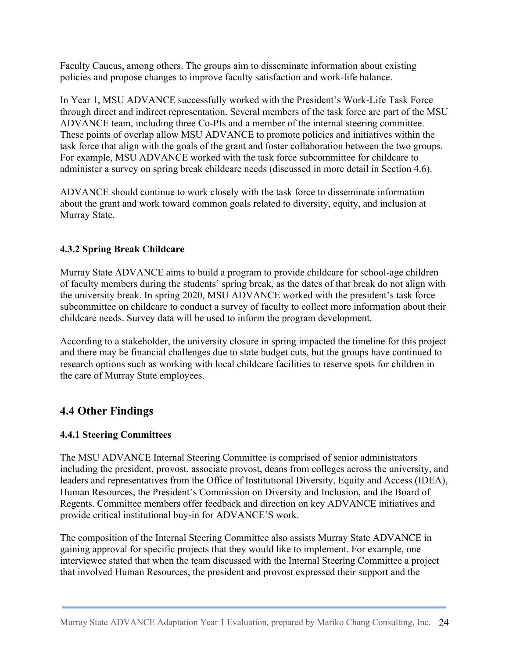Faculty Caucus, among others. The groups aim to disseminate information about existing policies and propose changes to improve faculty satisfaction and work-life balance.

In Year 1, MSU ADVANCE successfully worked with the President's Work-Life Task Force through direct and indirect representation. Several members of the task force are part of the MSU ADVANCE team, including three Co-PIs and a member of the internal steering committee. These points of overlap allow MSU ADVANCE to promote policies and initiatives within the task force that align with the goals of the grant and foster collaboration between the two groups. For example, MSU ADVANCE worked with the task force subcommittee for childcare to administer a survey on spring break childcare needs (discussed in more detail in Section 4.6).

ADVANCE should continue to work closely with the task force to disseminate information about the grant and work toward common goals related to diversity, equity, and inclusion at Murray State.

#### **4.3.2 Spring Break Childcare**

Murray State ADVANCE aims to build a program to provide childcare for school-age children of faculty members during the students' spring break, as the dates of that break do not align with the university break. In spring 2020, MSU ADVANCE worked with the president's task force subcommittee on childcare to conduct a survey of faculty to collect more information about their childcare needs. Survey data will be used to inform the program development.

According to a stakeholder, the university closure in spring impacted the timeline for this project and there may be financial challenges due to state budget cuts, but the groups have continued to research options such as working with local childcare facilities to reserve spots for children in the care of Murray State employees.

### **4.4 Other Findings**

#### **4.4.1 Steering Committees**

The MSU ADVANCE Internal Steering Committee is comprised of senior administrators including the president, provost, associate provost, deans from colleges across the university, and leaders and representatives from the Office of Institutional Diversity, Equity and Access (IDEA), Human Resources, the President's Commission on Diversity and Inclusion, and the Board of Regents. Committee members offer feedback and direction on key ADVANCE initiatives and provide critical institutional buy-in for ADVANCE'S work.

The composition of the Internal Steering Committee also assists Murray State ADVANCE in gaining approval for specific projects that they would like to implement. For example, one interviewee stated that when the team discussed with the Internal Steering Committee a project that involved Human Resources, the president and provost expressed their support and the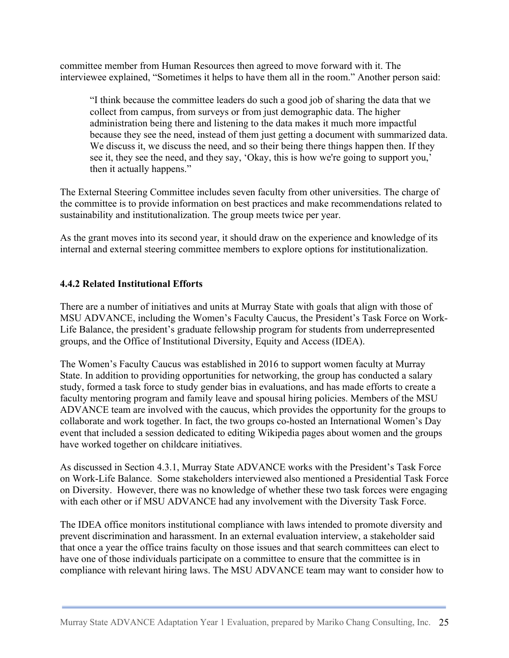committee member from Human Resources then agreed to move forward with it. The interviewee explained, "Sometimes it helps to have them all in the room." Another person said:

"I think because the committee leaders do such a good job of sharing the data that we collect from campus, from surveys or from just demographic data. The higher administration being there and listening to the data makes it much more impactful because they see the need, instead of them just getting a document with summarized data. We discuss it, we discuss the need, and so their being there things happen then. If they see it, they see the need, and they say, 'Okay, this is how we're going to support you,' then it actually happens."

The External Steering Committee includes seven faculty from other universities. The charge of the committee is to provide information on best practices and make recommendations related to sustainability and institutionalization. The group meets twice per year.

As the grant moves into its second year, it should draw on the experience and knowledge of its internal and external steering committee members to explore options for institutionalization.

### **4.4.2 Related Institutional Efforts**

There are a number of initiatives and units at Murray State with goals that align with those of MSU ADVANCE, including the Women's Faculty Caucus, the President's Task Force on Work-Life Balance, the president's graduate fellowship program for students from underrepresented groups, and the Office of Institutional Diversity, Equity and Access (IDEA).

The Women's Faculty Caucus was established in 2016 to support women faculty at Murray State. In addition to providing opportunities for networking, the group has conducted a salary study, formed a task force to study gender bias in evaluations, and has made efforts to create a faculty mentoring program and family leave and spousal hiring policies. Members of the MSU ADVANCE team are involved with the caucus, which provides the opportunity for the groups to collaborate and work together. In fact, the two groups co-hosted an International Women's Day event that included a session dedicated to editing Wikipedia pages about women and the groups have worked together on childcare initiatives.

As discussed in Section 4.3.1, Murray State ADVANCE works with the President's Task Force on Work-Life Balance. Some stakeholders interviewed also mentioned a Presidential Task Force on Diversity. However, there was no knowledge of whether these two task forces were engaging with each other or if MSU ADVANCE had any involvement with the Diversity Task Force.

The IDEA office monitors institutional compliance with laws intended to promote diversity and prevent discrimination and harassment. In an external evaluation interview, a stakeholder said that once a year the office trains faculty on those issues and that search committees can elect to have one of those individuals participate on a committee to ensure that the committee is in compliance with relevant hiring laws. The MSU ADVANCE team may want to consider how to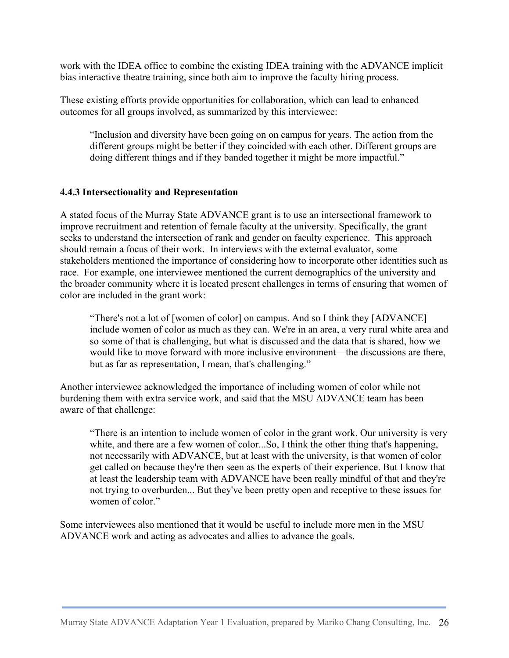work with the IDEA office to combine the existing IDEA training with the ADVANCE implicit bias interactive theatre training, since both aim to improve the faculty hiring process.

These existing efforts provide opportunities for collaboration, which can lead to enhanced outcomes for all groups involved, as summarized by this interviewee:

"Inclusion and diversity have been going on on campus for years. The action from the different groups might be better if they coincided with each other. Different groups are doing different things and if they banded together it might be more impactful."

#### **4.4.3 Intersectionality and Representation**

A stated focus of the Murray State ADVANCE grant is to use an intersectional framework to improve recruitment and retention of female faculty at the university. Specifically, the grant seeks to understand the intersection of rank and gender on faculty experience. This approach should remain a focus of their work. In interviews with the external evaluator, some stakeholders mentioned the importance of considering how to incorporate other identities such as race. For example, one interviewee mentioned the current demographics of the university and the broader community where it is located present challenges in terms of ensuring that women of color are included in the grant work:

"There's not a lot of [women of color] on campus. And so I think they [ADVANCE] include women of color as much as they can. We're in an area, a very rural white area and so some of that is challenging, but what is discussed and the data that is shared, how we would like to move forward with more inclusive environment—the discussions are there, but as far as representation, I mean, that's challenging."

Another interviewee acknowledged the importance of including women of color while not burdening them with extra service work, and said that the MSU ADVANCE team has been aware of that challenge:

"There is an intention to include women of color in the grant work. Our university is very white, and there are a few women of color...So, I think the other thing that's happening, not necessarily with ADVANCE, but at least with the university, is that women of color get called on because they're then seen as the experts of their experience. But I know that at least the leadership team with ADVANCE have been really mindful of that and they're not trying to overburden... But they've been pretty open and receptive to these issues for women of color."

Some interviewees also mentioned that it would be useful to include more men in the MSU ADVANCE work and acting as advocates and allies to advance the goals.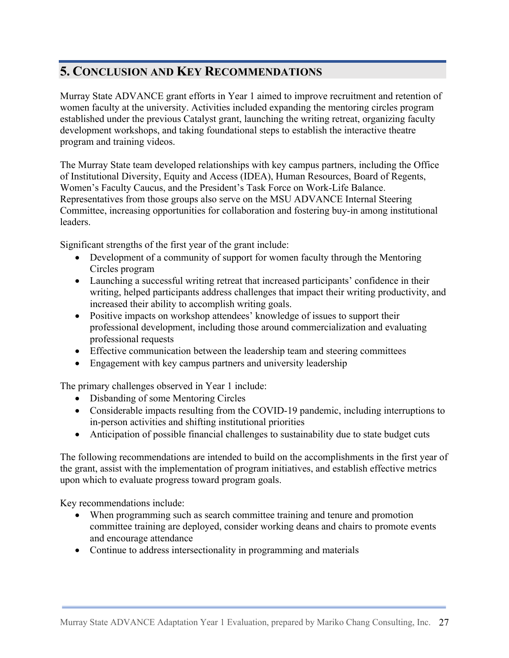# **5. CONCLUSION AND KEY RECOMMENDATIONS**

Murray State ADVANCE grant efforts in Year 1 aimed to improve recruitment and retention of women faculty at the university. Activities included expanding the mentoring circles program established under the previous Catalyst grant, launching the writing retreat, organizing faculty development workshops, and taking foundational steps to establish the interactive theatre program and training videos.

The Murray State team developed relationships with key campus partners, including the Office of Institutional Diversity, Equity and Access (IDEA), Human Resources, Board of Regents, Women's Faculty Caucus, and the President's Task Force on Work-Life Balance. Representatives from those groups also serve on the MSU ADVANCE Internal Steering Committee, increasing opportunities for collaboration and fostering buy-in among institutional leaders.

Significant strengths of the first year of the grant include:

- Development of a community of support for women faculty through the Mentoring Circles program
- Launching a successful writing retreat that increased participants' confidence in their writing, helped participants address challenges that impact their writing productivity, and increased their ability to accomplish writing goals.
- Positive impacts on workshop attendees' knowledge of issues to support their professional development, including those around commercialization and evaluating professional requests
- Effective communication between the leadership team and steering committees
- Engagement with key campus partners and university leadership

The primary challenges observed in Year 1 include:

- Disbanding of some Mentoring Circles
- Considerable impacts resulting from the COVID-19 pandemic, including interruptions to in-person activities and shifting institutional priorities
- Anticipation of possible financial challenges to sustainability due to state budget cuts

The following recommendations are intended to build on the accomplishments in the first year of the grant, assist with the implementation of program initiatives, and establish effective metrics upon which to evaluate progress toward program goals.

Key recommendations include:

- When programming such as search committee training and tenure and promotion committee training are deployed, consider working deans and chairs to promote events and encourage attendance
- Continue to address intersectionality in programming and materials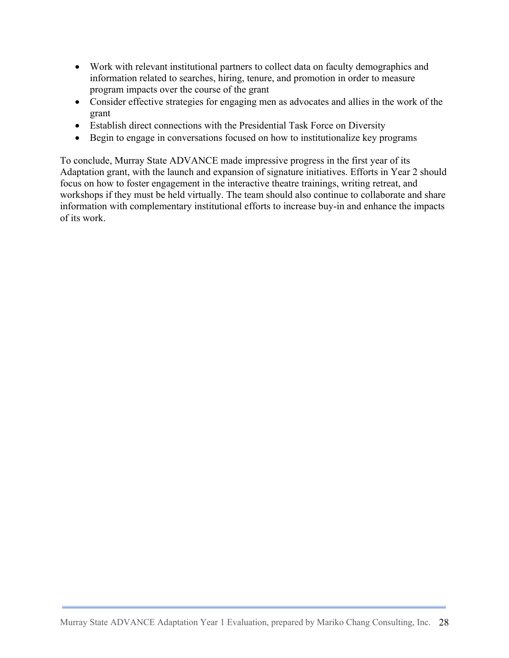- Work with relevant institutional partners to collect data on faculty demographics and information related to searches, hiring, tenure, and promotion in order to measure program impacts over the course of the grant
- Consider effective strategies for engaging men as advocates and allies in the work of the grant
- Establish direct connections with the Presidential Task Force on Diversity
- Begin to engage in conversations focused on how to institutionalize key programs

To conclude, Murray State ADVANCE made impressive progress in the first year of its Adaptation grant, with the launch and expansion of signature initiatives. Efforts in Year 2 should focus on how to foster engagement in the interactive theatre trainings, writing retreat, and workshops if they must be held virtually. The team should also continue to collaborate and share information with complementary institutional efforts to increase buy-in and enhance the impacts of its work.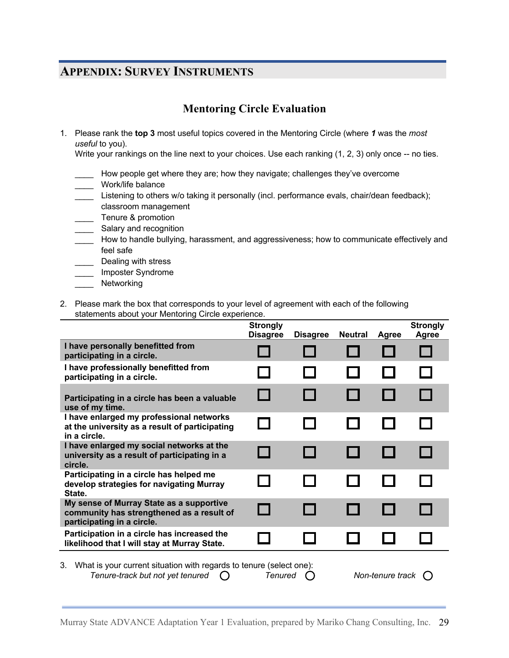# **APPENDIX: SURVEY INSTRUMENTS**

## **Mentoring Circle Evaluation**

1. Please rank the **top 3** most useful topics covered in the Mentoring Circle (where *1* was the *most useful* to you).

Write your rankings on the line next to your choices. Use each ranking (1, 2, 3) only once -- no ties.

- How people get where they are; how they navigate; challenges they've overcome
- \_\_\_\_ Work/life balance
- Listening to others w/o taking it personally (incl. performance evals, chair/dean feedback); classroom management
- **Tenure & promotion**
- \_\_\_\_ Salary and recognition
- \_\_\_\_ How to handle bullying, harassment, and aggressiveness; how to communicate effectively and feel safe
- Dealing with stress
- \_\_\_\_ Imposter Syndrome
- \_\_\_\_ Networking
- 2. Please mark the box that corresponds to your level of agreement with each of the following statements about your Mentoring Circle experience.

|                                                                                                                                                                      | <b>Strongly</b><br><b>Disagree</b> | <b>Disagree</b> | <b>Neutral</b> | <b>Agree</b> | <b>Strongly</b><br>Agree |
|----------------------------------------------------------------------------------------------------------------------------------------------------------------------|------------------------------------|-----------------|----------------|--------------|--------------------------|
| I have personally benefitted from<br>participating in a circle.                                                                                                      |                                    |                 |                |              |                          |
| I have professionally benefitted from<br>participating in a circle.                                                                                                  |                                    |                 |                |              |                          |
| Participating in a circle has been a valuable<br>use of my time.                                                                                                     |                                    |                 |                |              |                          |
| I have enlarged my professional networks<br>at the university as a result of participating<br>in a circle.                                                           |                                    |                 |                |              |                          |
| I have enlarged my social networks at the<br>university as a result of participating in a<br>circle.                                                                 |                                    |                 |                |              |                          |
| Participating in a circle has helped me<br>develop strategies for navigating Murray<br>State.                                                                        |                                    |                 |                |              |                          |
| My sense of Murray State as a supportive<br>community has strengthened as a result of<br>participating in a circle.                                                  |                                    |                 |                |              |                          |
| Participation in a circle has increased the<br>likelihood that I will stay at Murray State.                                                                          |                                    |                 |                |              |                          |
| 3. What is your current situation with regards to tenure (select one):<br>Tenure-track but not yet tenured<br><b>Tenured</b><br>Non-tenure track<br>$\left( \right)$ |                                    |                 |                |              |                          |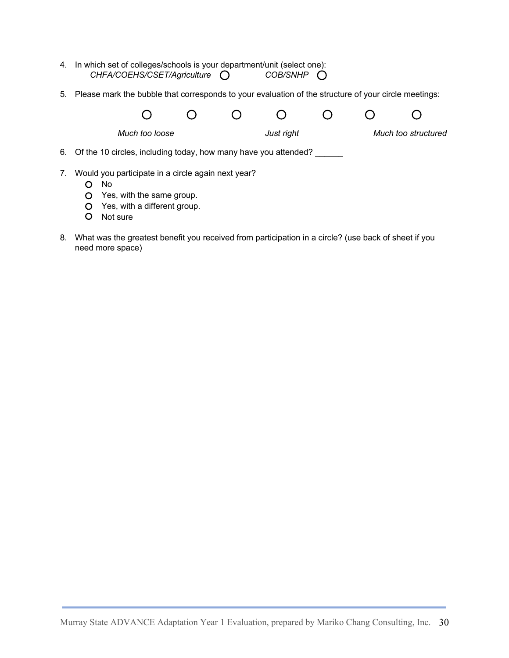- 4. In which set of colleges/schools is your department/unit (select one): CHFA/COEHS/CSET/Agriculture  $\bigcirc$  COB/SNHP  $\bigcirc$
- 5. Please mark the bubble that corresponds to your evaluation of the structure of your circle meetings:

|    |                                                                    | Much too loose                                     |  |  | Just right |  |  | Much too structured |  |
|----|--------------------------------------------------------------------|----------------------------------------------------|--|--|------------|--|--|---------------------|--|
|    | 6. Of the 10 circles, including today, how many have you attended? |                                                    |  |  |            |  |  |                     |  |
| 7. | No.                                                                | Would you participate in a circle again next year? |  |  |            |  |  |                     |  |
|    |                                                                    | Yes, with the same group.                          |  |  |            |  |  |                     |  |

- Yes, with a different group.
- O Not sure
- 8. What was the greatest benefit you received from participation in a circle? (use back of sheet if you need more space)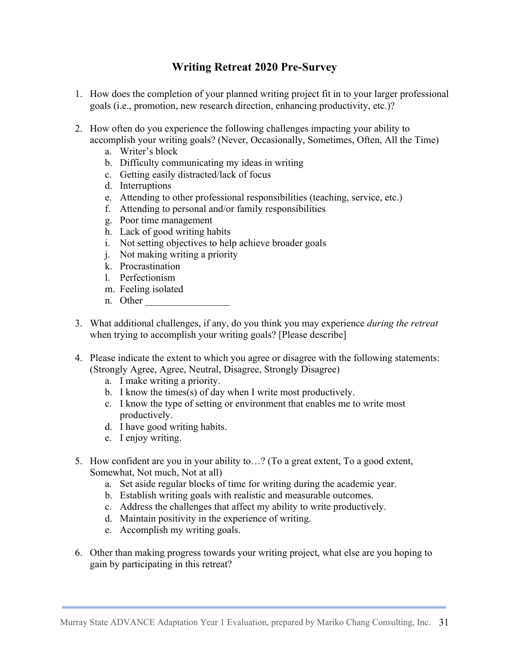## **Writing Retreat 2020 Pre-Survey**

- 1. How does the completion of your planned writing project fit in to your larger professional goals (i.e., promotion, new research direction, enhancing productivity, etc.)?
- 2. How often do you experience the following challenges impacting your ability to accomplish your writing goals? (Never, Occasionally, Sometimes, Often, All the Time)
	- a. Writer's block
	- b. Difficulty communicating my ideas in writing
	- c. Getting easily distracted/lack of focus
	- d. Interruptions
	- e. Attending to other professional responsibilities (teaching, service, etc.)
	- f. Attending to personal and/or family responsibilities
	- g. Poor time management
	- h. Lack of good writing habits
	- i. Not setting objectives to help achieve broader goals
	- j. Not making writing a priority
	- k. Procrastination
	- l. Perfectionism
	- m. Feeling isolated
	- n. Other
- 3. What additional challenges, if any, do you think you may experience *during the retreat* when trying to accomplish your writing goals? [Please describe]
- 4. Please indicate the extent to which you agree or disagree with the following statements: (Strongly Agree, Agree, Neutral, Disagree, Strongly Disagree)
	- a. I make writing a priority.
	- b. I know the times(s) of day when I write most productively.
	- c. I know the type of setting or environment that enables me to write most productively.
	- d. I have good writing habits.
	- e. I enjoy writing.
- 5. How confident are you in your ability to…? (To a great extent, To a good extent, Somewhat, Not much, Not at all)
	- a. Set aside regular blocks of time for writing during the academic year.
	- b. Establish writing goals with realistic and measurable outcomes.
	- c. Address the challenges that affect my ability to write productively.
	- d. Maintain positivity in the experience of writing.
	- e. Accomplish my writing goals.
- 6. Other than making progress towards your writing project, what else are you hoping to gain by participating in this retreat?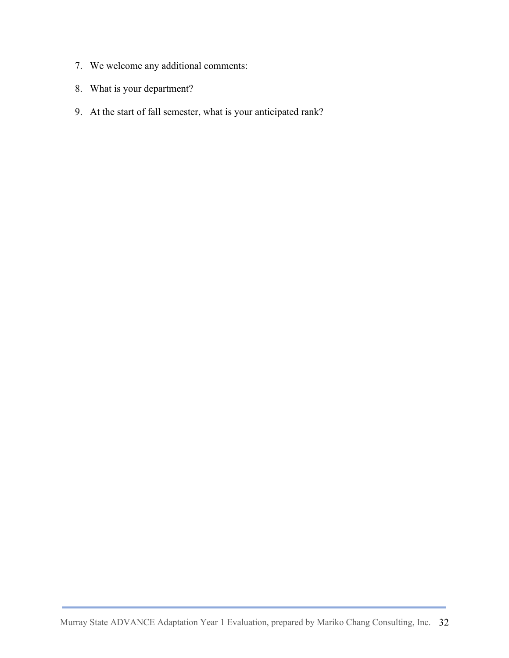- 7. We welcome any additional comments:
- 8. What is your department?
- 9. At the start of fall semester, what is your anticipated rank?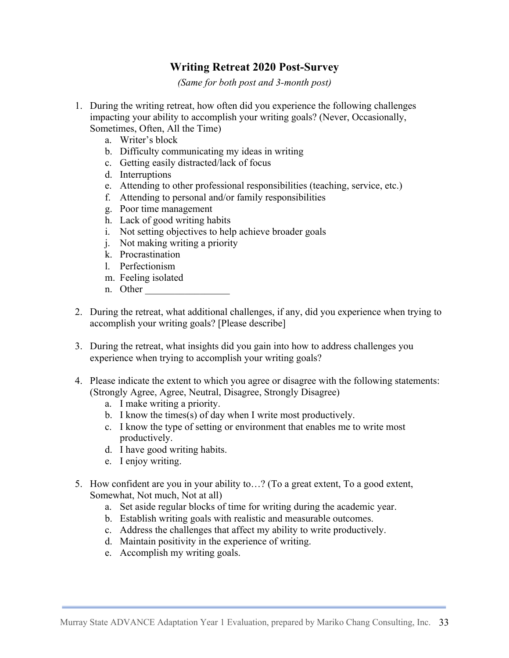### **Writing Retreat 2020 Post-Survey**

*(Same for both post and 3-month post)*

- 1. During the writing retreat, how often did you experience the following challenges impacting your ability to accomplish your writing goals? (Never, Occasionally, Sometimes, Often, All the Time)
	- a. Writer's block
	- b. Difficulty communicating my ideas in writing
	- c. Getting easily distracted/lack of focus
	- d. Interruptions
	- e. Attending to other professional responsibilities (teaching, service, etc.)
	- f. Attending to personal and/or family responsibilities
	- g. Poor time management
	- h. Lack of good writing habits
	- i. Not setting objectives to help achieve broader goals
	- j. Not making writing a priority
	- k. Procrastination
	- l. Perfectionism
	- m. Feeling isolated
	- n. Other
- 2. During the retreat, what additional challenges, if any, did you experience when trying to accomplish your writing goals? [Please describe]
- 3. During the retreat, what insights did you gain into how to address challenges you experience when trying to accomplish your writing goals?
- 4. Please indicate the extent to which you agree or disagree with the following statements: (Strongly Agree, Agree, Neutral, Disagree, Strongly Disagree)
	- a. I make writing a priority.
	- b. I know the times(s) of day when I write most productively.
	- c. I know the type of setting or environment that enables me to write most productively.
	- d. I have good writing habits.
	- e. I enjoy writing.
- 5. How confident are you in your ability to…? (To a great extent, To a good extent, Somewhat, Not much, Not at all)
	- a. Set aside regular blocks of time for writing during the academic year.
	- b. Establish writing goals with realistic and measurable outcomes.
	- c. Address the challenges that affect my ability to write productively.
	- d. Maintain positivity in the experience of writing.
	- e. Accomplish my writing goals.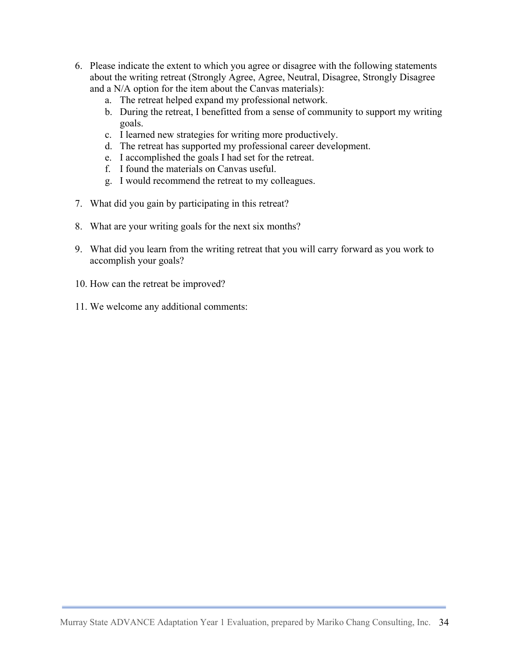- 6. Please indicate the extent to which you agree or disagree with the following statements about the writing retreat (Strongly Agree, Agree, Neutral, Disagree, Strongly Disagree and a N/A option for the item about the Canvas materials):
	- a. The retreat helped expand my professional network.
	- b. During the retreat, I benefitted from a sense of community to support my writing goals.
	- c. I learned new strategies for writing more productively.
	- d. The retreat has supported my professional career development.
	- e. I accomplished the goals I had set for the retreat.
	- f. I found the materials on Canvas useful.
	- g. I would recommend the retreat to my colleagues.
- 7. What did you gain by participating in this retreat?
- 8. What are your writing goals for the next six months?
- 9. What did you learn from the writing retreat that you will carry forward as you work to accomplish your goals?
- 10. How can the retreat be improved?
- 11. We welcome any additional comments: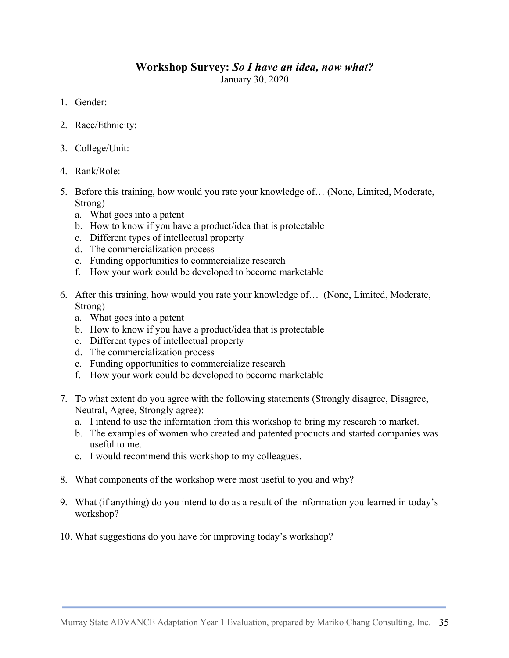#### **Workshop Survey:** *So I have an idea, now what?* January 30, 2020

- 1. Gender:
- 2. Race/Ethnicity:
- 3. College/Unit:
- 4. Rank/Role:
- 5. Before this training, how would you rate your knowledge of… (None, Limited, Moderate, Strong)
	- a. What goes into a patent
	- b. How to know if you have a product/idea that is protectable
	- c. Different types of intellectual property
	- d. The commercialization process
	- e. Funding opportunities to commercialize research
	- f. How your work could be developed to become marketable
- 6. After this training, how would you rate your knowledge of… (None, Limited, Moderate, Strong)
	- a. What goes into a patent
	- b. How to know if you have a product/idea that is protectable
	- c. Different types of intellectual property
	- d. The commercialization process
	- e. Funding opportunities to commercialize research
	- f. How your work could be developed to become marketable
- 7. To what extent do you agree with the following statements (Strongly disagree, Disagree, Neutral, Agree, Strongly agree):
	- a. I intend to use the information from this workshop to bring my research to market.
	- b. The examples of women who created and patented products and started companies was useful to me.
	- c. I would recommend this workshop to my colleagues.
- 8. What components of the workshop were most useful to you and why?
- 9. What (if anything) do you intend to do as a result of the information you learned in today's workshop?
- 10. What suggestions do you have for improving today's workshop?